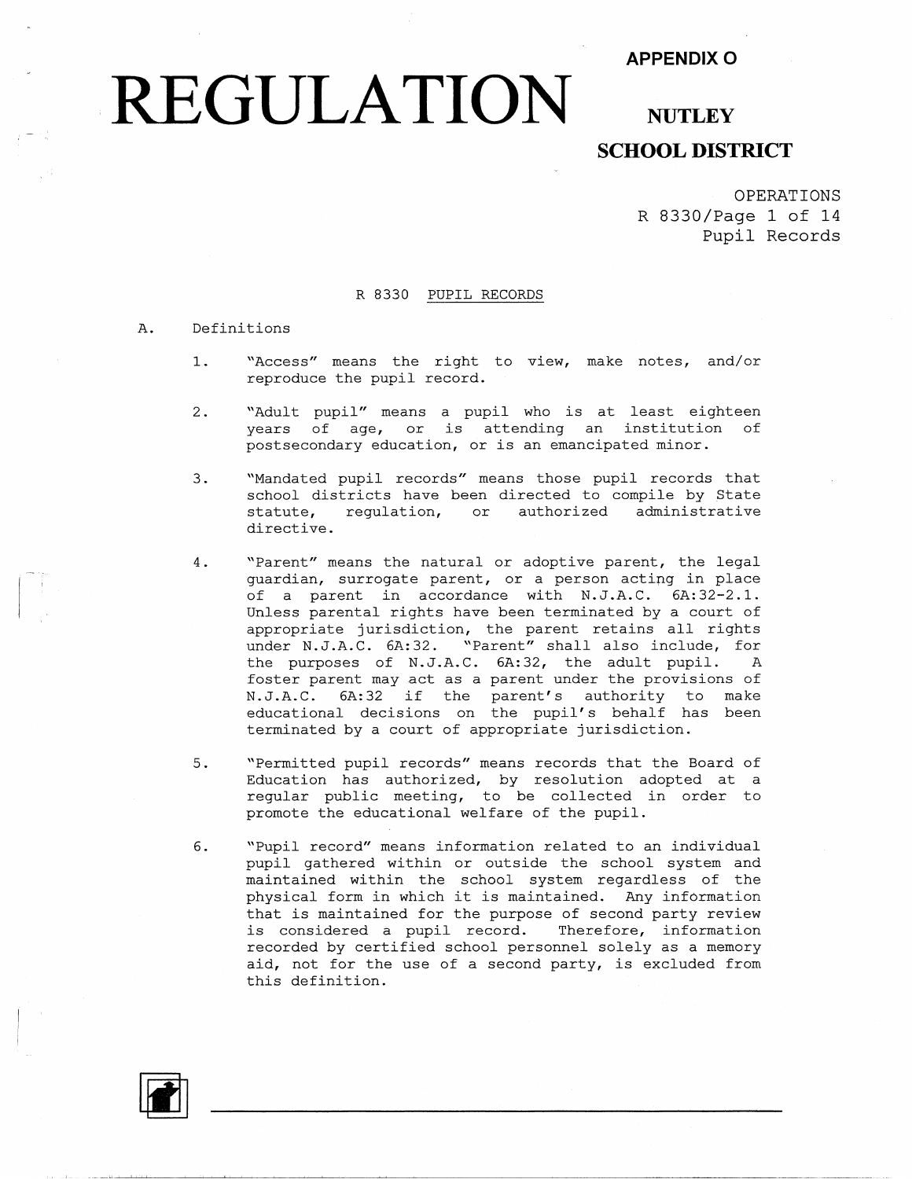### **APPENDIX O**

# **REGULATION**

## **NUTLEY SCHOOL DISTRICT**

OPERATIONS R 8330/Page 1 of 14 Pupil Records

#### R 8330 PUPIL RECORDS

#### A. Definitions

- 1. "Access" means the right to view, make notes, and/or reproduce the pupil record.
- 2. "Adult pupil" means a pupil who is at least eighteen years of age, or is attending an institution of postsecondary education, or is an emancipated minor.
- 3. "Mandated pupil records" means those pupil records that school districts have been directed to compile by State statute, regulation, or authorized administrative directive.
- 4. "Parent" means the natural or adoptive parent, the legal guardian, surrogate parent, or a person acting in place of a parent in accordance with N.J.A.C. 6A:32-2.l. Unless parental rights have been terminated by a court of appropriate jurisdiction, the parent retains all rights under N.J.A.C. 6A:32. "Parent" shall also include, for the purposes of N.J.A.C. 6A:32, the adult pupil. A foster parent may act as a parent under the provisions of N.J.A.C. 6A:32 if the parent's authority to make educational decisions on the pupil's behalf has been terminated by a court of appropriate jurisdiction.
- 5. "Permitted pupil records" means records that the Board of Education has authorized, by resolution adopted at a regular public meeting, to be collected in order to promote the educational welfare of the pupil.
- 6. "Pupil record" means information related to an individual pupil gathered within or outside the school system and maintained within the school system regardless of the physical form in which it is maintained. Any information that is maintained for the purpose of second party review is considered a pupil record. Therefore, information recorded by certified school personnel solely as a memory aid, not for the use of a second party, is excluded from this definition.

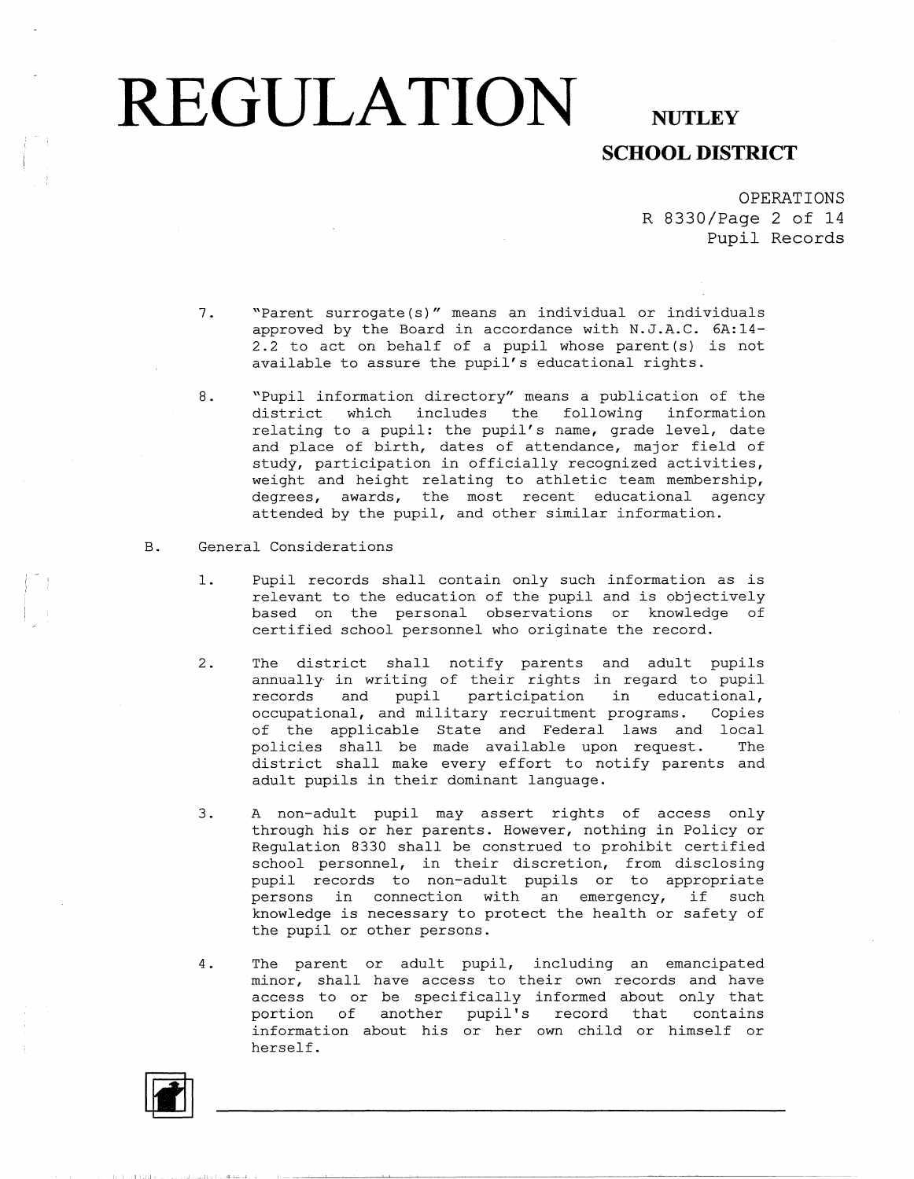**SCHOOL DISTRICT** 

OPERATIONS R 8330/Page 2 of 14 Pupil Records

- 7. "Parent surrogate (s)" means an individual or individuals approved by the Board in accordance with N.J.A.C. 6A:14- 2.2 to act on behalf of a pupil whose parent  $(s)$  is not available to assure the pupil's educational rights.
- 8. "Pupil information directory" means a publication of the district which includes the following information relating to a pupil: the pupil's name, grade level, date and place of birth, dates of attendance, major field of study, participation in officially recognized activities, weight and height relating to athletic team membership, degrees, awards, the most recent educational agency attended by the pupil, and other similar information.

#### B. General Considerations

- 1. Pupil records shall contain only such information as is relevant to the education of the pupil and is objectively based on the personal observations or knowledge of certified school personnel who originate the record.
- 2. The district shall notify parents and adult pupils annually in writing of their rights in regard to pupil records and pupil participation in educational, occupational, and military recruitment programs. Copies of the applicable State and Federal laws and local policies shall be made available upon request. The district shall make every effort to notify parents and adult pupils in their dominant language.
- 3. A non-adult pupil may assert rights of access only through his or her parents. However, nothing in Policy or Regulation 8330 shall be construed to prohibit certified school personnel, in their discretion, from disclos pupil records to non-adult pupils or to appropri persons in connection with an emergency, if such knowledge is necessary to protect the health or safety of the pupil or other persons.
- 4. The parent or adult pupil, including an emancipated minor, shall have access to their own records and have access to or be specifically informed about only that portion of another pupil's record that contains information about his or her own child or himself or herself.

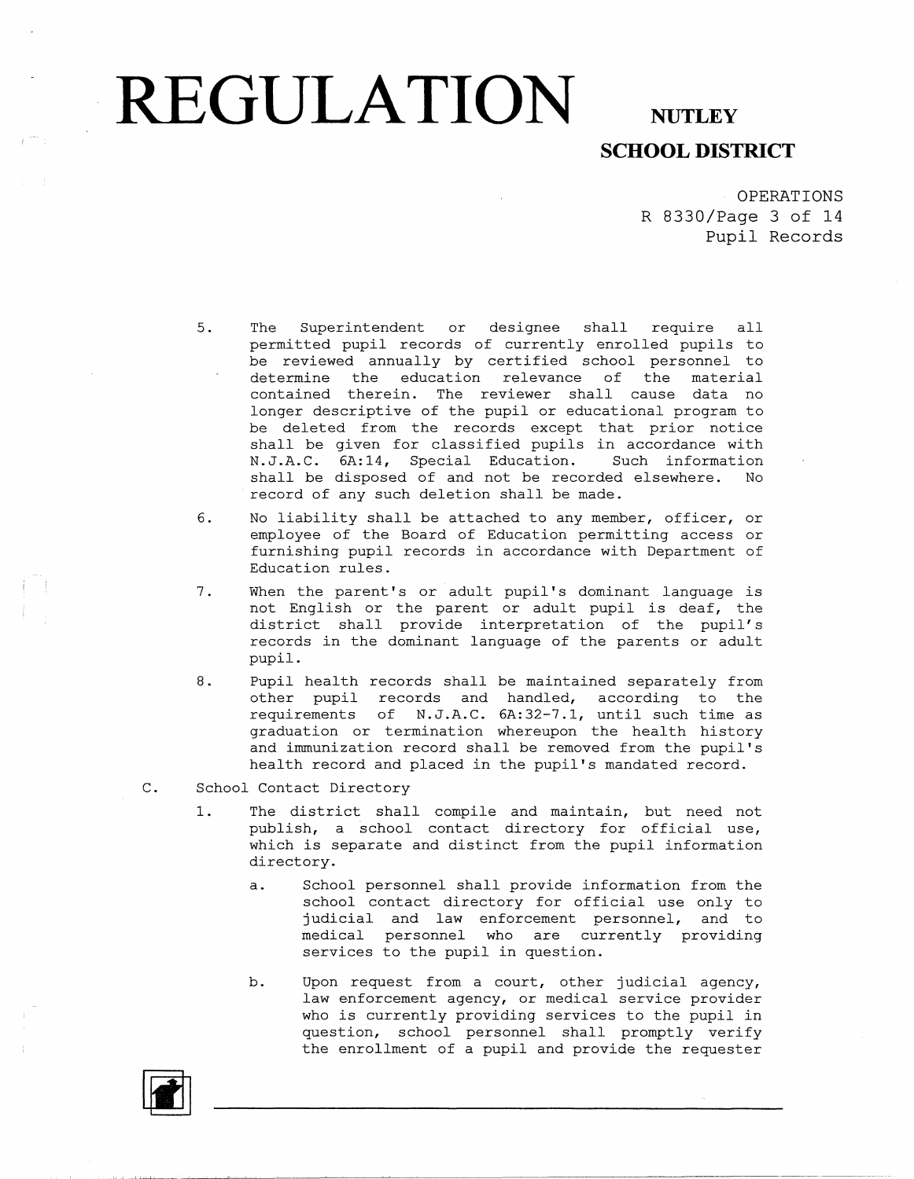## **SCHOOL DISTRICT**

OPERATIONS R 8330/Page 3 of 14 Pupil Records

- 5. The Superintendent or designee shall require all permitted pupil records of currently enrolled pupils to be reviewed annually by certified school personnel to determine the education relevance of the material contained therein. The reviewer shall cause data no longer descriptive of the pupil or educational program to be deleted from the records except that prior notice shall be given for classified pupils in accordance with N.J.A.C. 6A:14, Special Education. Such information shall be disposed of and not be recorded elsewhere. No record of any such deletion shall be made.
- 6. No liability shall be attached to any member, officer, or employee of the Board of Education permitting access or furnishing pupil records in accordance with Department of Education rules.
- 7. When the parent's or adult pupil's dominant language is not English or the parent or adult pupil is deaf, the district shall provide interpretation of the pupil's records in the dominant language of the parents or adult pupil.
- 8. Pupil health records shall be maintained separately from other pupil records and handled, according to the requirements of N.J.A.C. 6A:32-7.1, until such time as graduation or termination whereupon the health history and immunization record shall be removed from the pupil's health record and placed in the pupil's mandated record.
- C. School Contact Directory
	- 1. The district shall compile and maintain, but need not publish, a school contact directory for official use, which is separate and distinct from the pupil information directory.
		- a. School personnel shall provide information from the school contact directory for official use only to judicial and law enforcement personnel, and to medical personnel who are currently providing services to the pupil in question.
		- b. Upon request from a court, other judicial agency, law enforcement agency, or medical service provider who is currently providing services to the pupil in question, school personnel shall promptly verify the enrollment of a pupil and provide the requester

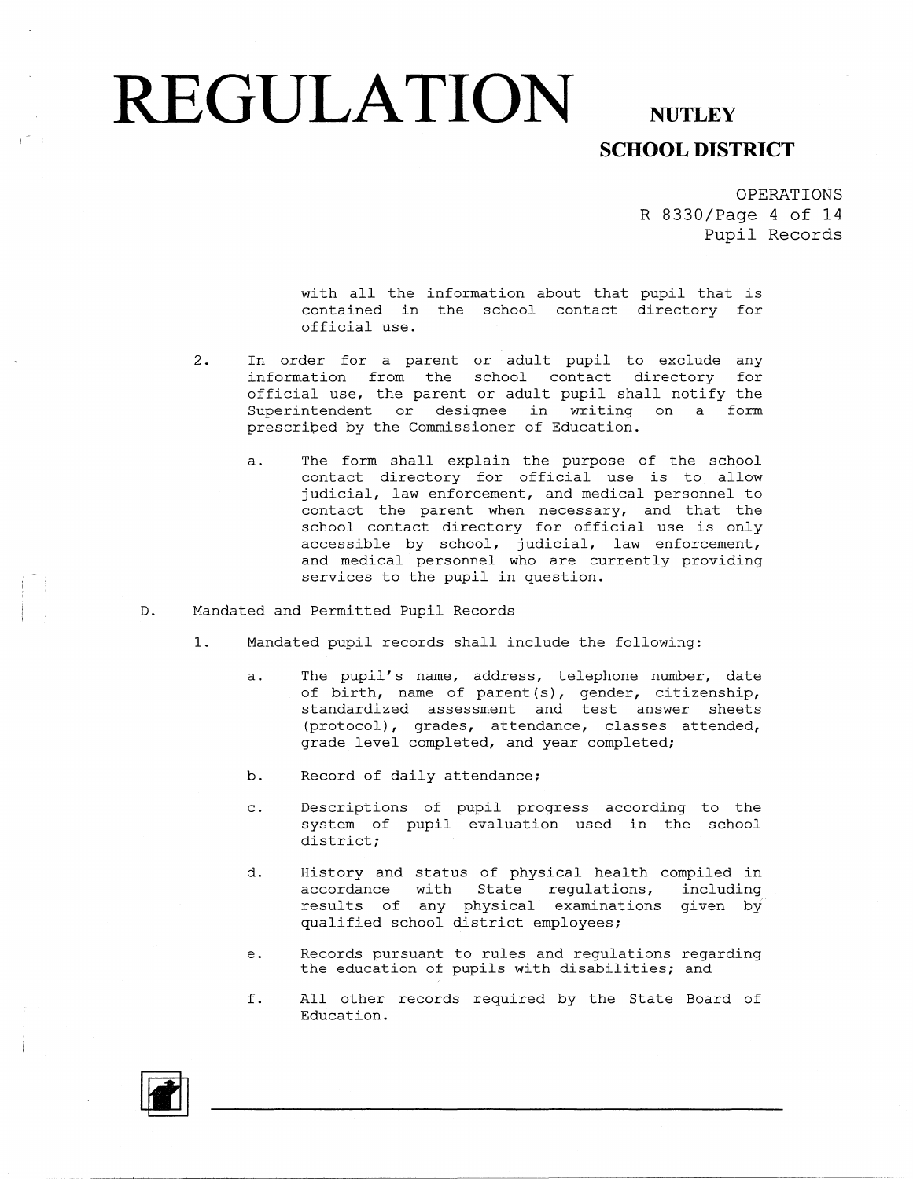### **SCHOOL DISTRICT**

OPERATIONS R 8330/Page 4 of 14 Pupil Records

with all the information about that pupil that is contained in the school contact directory for official use.

- 2. In order for a parent or adult pupil to exclude any information from the school contact directory for official use, the parent or adult pupil shall notify the Superintendent or designee in writing on a form prescribed by the Commissioner of Education.
	- a. The form shall explain the purpose of the school contact directory for official use is to allow judicial, law enforcement, and medical personnel to contact the parent when necessary, and that the school contact directory for official use is only accessible by school, judicial, law enforcement, and medical personnel who are currently providing services to the pupil in question.
- D. Mandated and Permitted Pupil Records
	- 1. Mandated pupil records shall include the following:
		- a. The pupil's name, address, telephone number, date of birth, name of parent (s), gender, citizenship, standardized assessment and test answer sheets (protocol), grades, attendance, classes attended, grade level completed, and year completed;
		- b. Record of daily attendance;
		- c. Descriptions of pupil progress according to the system of pupil evaluation used in the school district;
		- d. History and status of physical health compiled in accordance with State regulations, including results of any physical examinations given by qualified school district employees;
		- e. Records pursuant to rules and regulations regarding the education of pupils with disabilities; and
		- f. All other records required by the State Board of Education.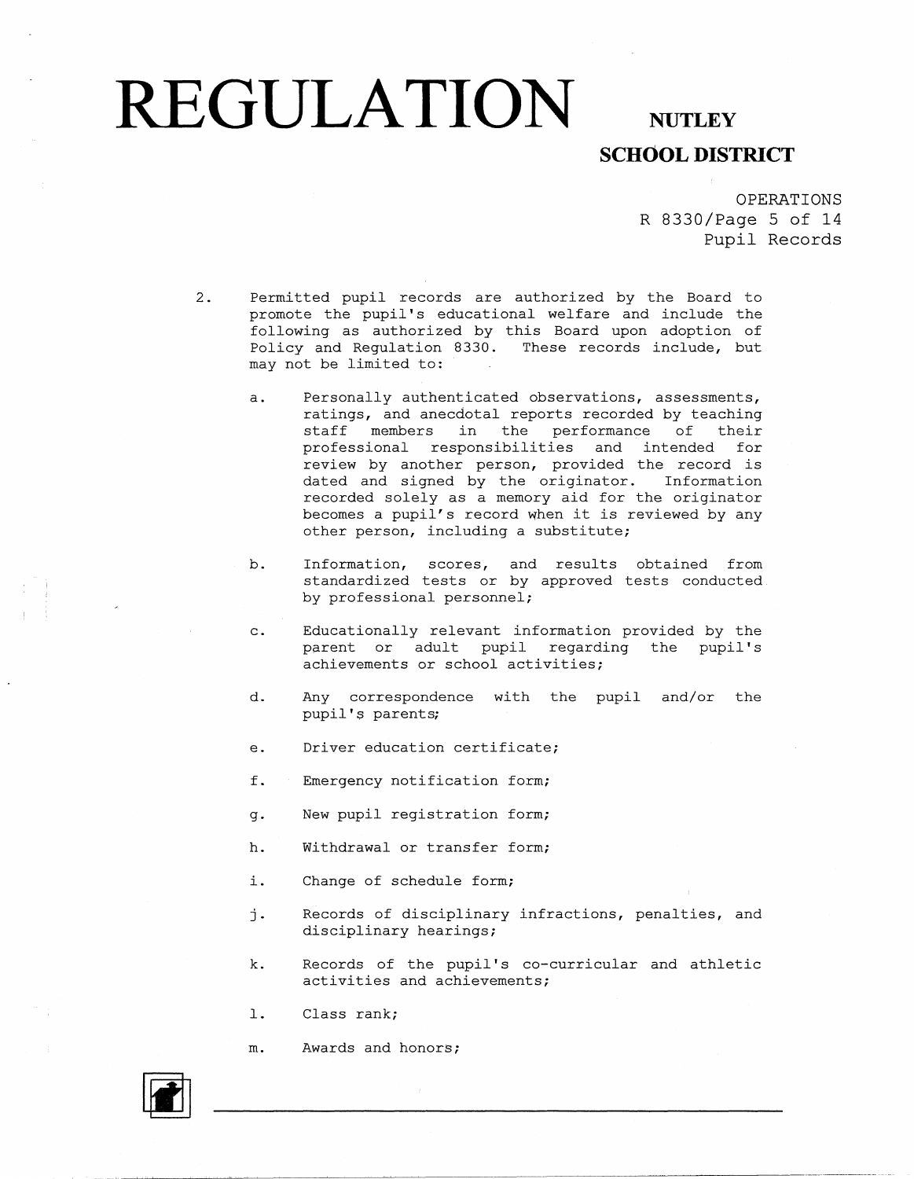## **SCHOOL DISTRICT**

OPERATIONS R 8330/Page 5 of 14 Pupil Records

- 2. Permitted pupil records are authorized by the Board to promote the pupil's educational welfare and include the following as authorized by this Board upon adoption of Policy and Regulation 8330. These records include, but may not be limited to:
	- a. Personally authenticated observations, assessments, ratings, and anecdotal reports recorded by teaching staff members in the performance of their professional responsibilities and intended for review by another person, provided the record is dated and signed by the originator. Information recorded solely as a memory aid for the originator becomes a pupil's record when it is reviewed by any other person, including a substitute;
	- b. Information, scores, and results obtained from standardized tests or by approved tests conducted. by professional personnel;
	- c. Educationally relevant information provided by the parent or adult pupil regarding the pupil's achievements or school activities;
	- d. Any correspondence with the pupil and/or the pupil's parents;
	- e. Driver education certificate;
	- f. Emergency notification form;
	- g. New pupil registration form;
	- h. Withdrawal or transfer form;
	- i. Change of schedule form;
	- j. Records of disciplinary infractions, penalties, and disciplinary hearings;
	- k. Records of the pupil's co-curricular and athletic activities and achievements;
	- 1. Class rank;
	- m. Awards and honors;

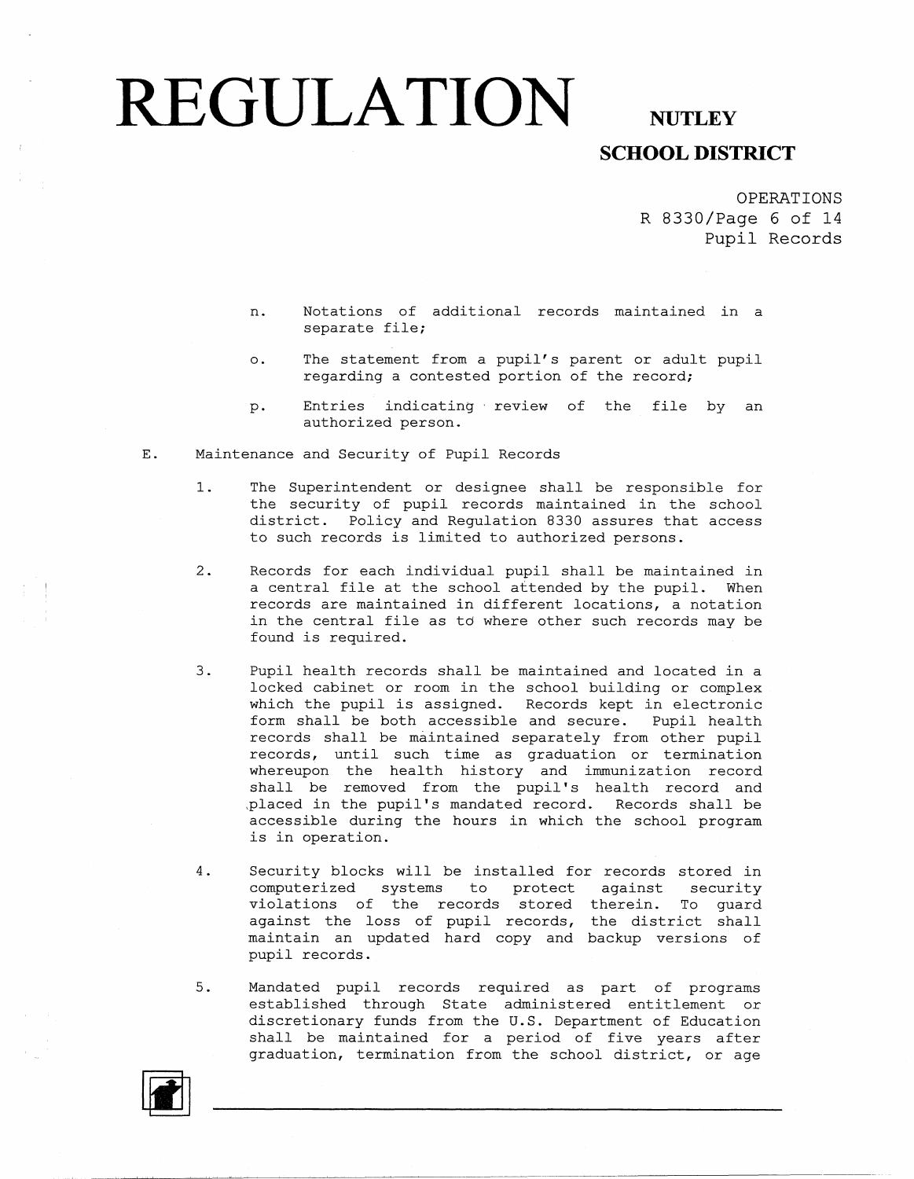### **SCHOOL DISTRICT**

OPERATIONS R 8330/Page 6 of 14 Pupil Records

- n. Notations of additional records maintained in a separate file;
- o. The statement from a pupil's parent or adult pupil regarding a contested portion of the record;
- p. Entries indicating review of the file by an authorized person.
- E. Maintenance and Security of Pupil Records
	- 1. The Superintendent or designee shall be responsible for the security of pupil records maintained in the school district. Policy and Regulation 8330 assures that access to such records is limited to authorized persons.
	- 2. Records for each individual pupil shall be maintained in a central file at the school attended by the pupil. When records are maintained in different locations, a notation in the central file as td where other such records may be found is required.
	- 3. Pupil health records shall be maintained and located in a locked cabinet or room in the school building or complex which the pupil is assigned. Records kept in electronic form shall be both accessible and secure. Pupil health records shall be maintained separately from other pupil records, until such time as graduation or termination whereupon the health history and immunization record shall be removed from the pupil's health record and ,placed in the pupil's mandated record. Records shall be accessible during the hours in which the school program is in operation.
	- 4. Security blocks will be installed for records stored in computerized systems to protect against securi violations of the records stored therein. To guare against the loss of pupil records, the district shall maintain an updated hard copy and backup versions of pupil records.
	- 5. Mandated pupil records required as part of programs established through State administered entitlement or discretionary funds from the U.S. Department of Education shall be maintained for a period of five years after graduation, termination from the school district, or age

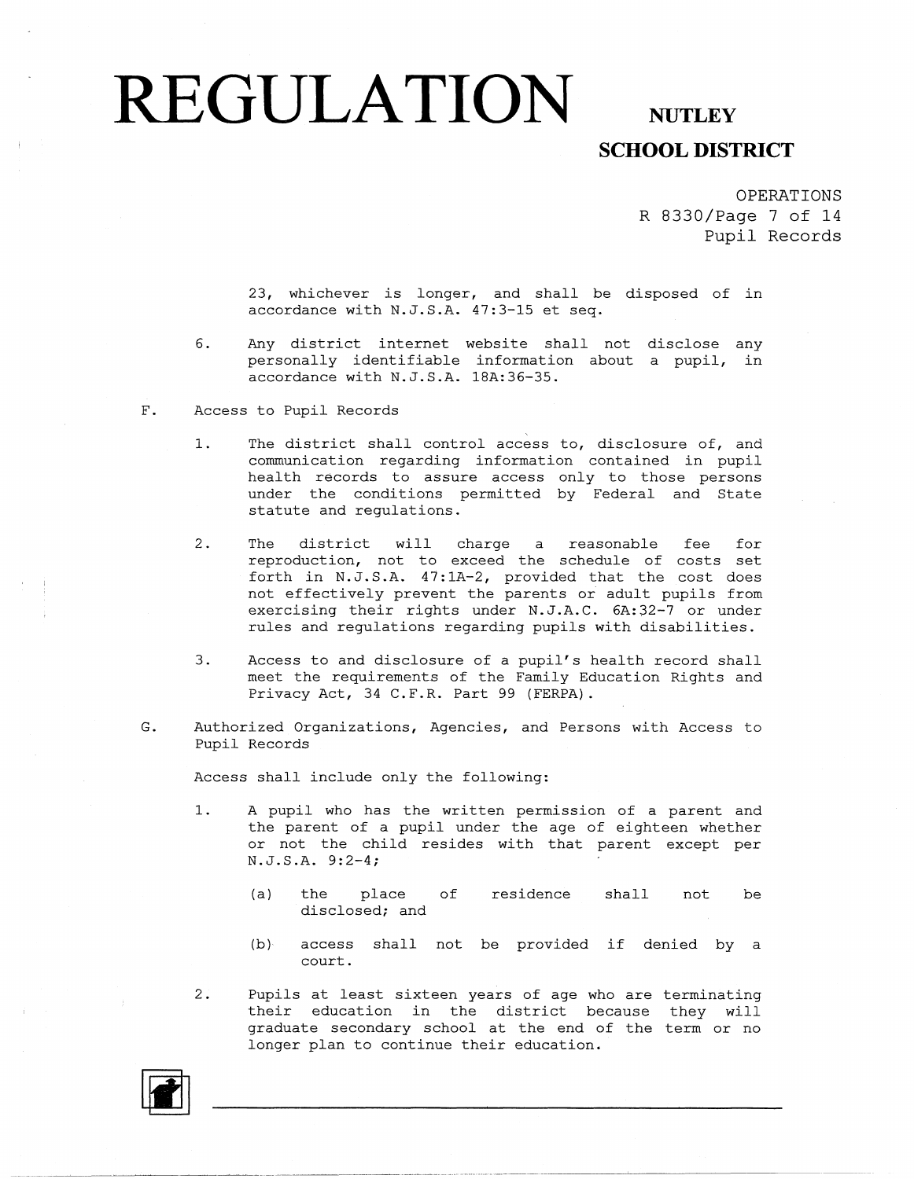## **SCHOOL DISTRICT**

OPERATIONS R 8330/Page 7 of 14 **Pupil** Records

23, whichever is longer, and shall be disposed of in accordance with N.J.S.A. 47:3-15 et seq.

- 6. Any district internet website shall not disclose any personally identifiable information about a pupil, in accordance with N.J.S.A. lBA:36-35.
- F. Access to Pupil Records
	- 1. The district shall control access to, disclosure of, and communication regarding information contained in pupil health records to assure access only to those persons under the conditions permitted by Federal and State statute and regulations.
	- 2. The district will charge a reasonable fee for reproduction, not to exceed the schedule of costs set forth in N.J.S.A. 47:lA-2, provided that the cost does not effectively prevent the parents or adult pupils from exercising their rights under N.J.A.C. 6A:32-7 or under rules and regulations regarding pupils with disabilities.
	- 3. Access to and disclosure of a pupil's health record shall meet the requirements of the Family Education Rights and Privacy Act, 34 C.F.R. Part 99 (FERPA).
- G. Authorized Organizations, Agencies, and Persons with Access to Pupil Records

Access shall include only the following:

-------------------- - ---- -----------

- 1. A pupil who has the written permission of a parent and the parent of a pupil under the age of eighteen whether or not the child resides with that parent except per N.J.S.A. 9:2-4;
	- (a) the place of residence shall not be disclosed; and
	- (b) access shall not be provided if denied by a court.
- 2. Pupils at least sixteen years of age who are terminating their education in the district because they will graduate secondary school at the end of the term or no longer plan to continue their education.

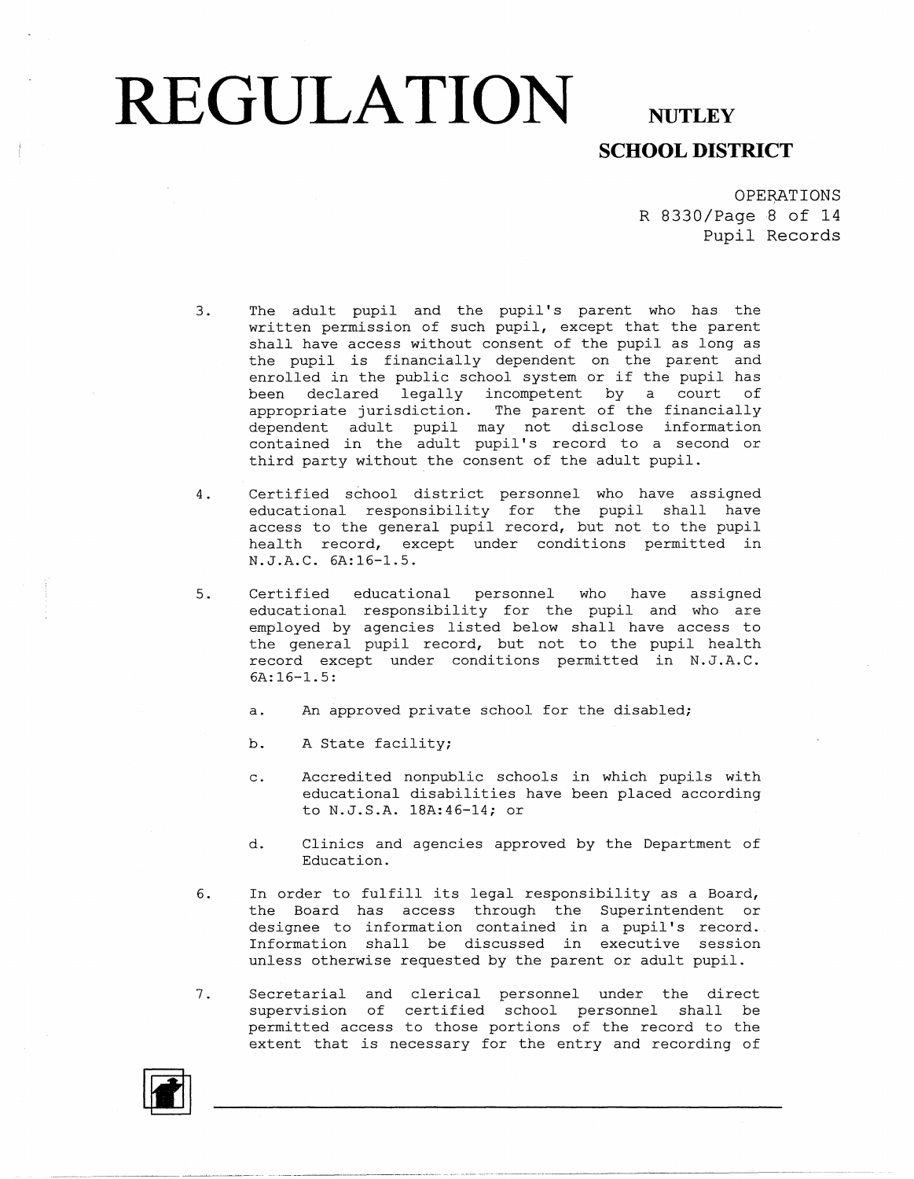## **SCHOOL DISTRICT**

**OPERATIONS** R 8330/Page 8 of 14 Pupil Records

- 3. The adult pupil and the pupil's parent who has the written permission of such pupil, except that the parent shall have access without consent of the pupil as long as the pupil is financially dependent on the parent and enrolled in the public school system or if the pupil has been declared legally incompetent by a court of appropriate jurisdiction. The parent of the financia dependent adult pupil may not disclose information contained in the adult pupil's record to a second or third party without the consent of the adult pupil.
- 4. Certified school district personnel who have assigned educational responsibility for the pupil shall have access to the general pupil record, but not to the pupi health record, except under conditions permitted in N.J.A.C. 6A:16-1.5.
- 5. Certified educational personnel who have assigned educational responsibility for the pupil and who are employed by agencies listed below shall have access to the general pupil record, but not to the pupil health record except under conditions permitted in N.J.A.C. 6A:16-1.5:
	- a. An approved private school for the disabled;
	- b. A State facility;
	- c. Accredited nonpublic schools in which pupils with educational disabilities have been placed according to N.J.S.A. lSA:46-14; or
	- d. Clinics and agencies approved by the Department of Education.
- 6. In order to fulfill its legal responsibility as a Board, the Board has access through the Superintendent or designee to information contained in a pupil's record. Information shall be discussed in executive session unless otherwise requested by the parent or adult pupil.
- 7. Secretarial and clerical personnel under the direct supervision of certified school personnel shall be permitted access to those portions of the record to the extent that is necessary for the entry and recording of

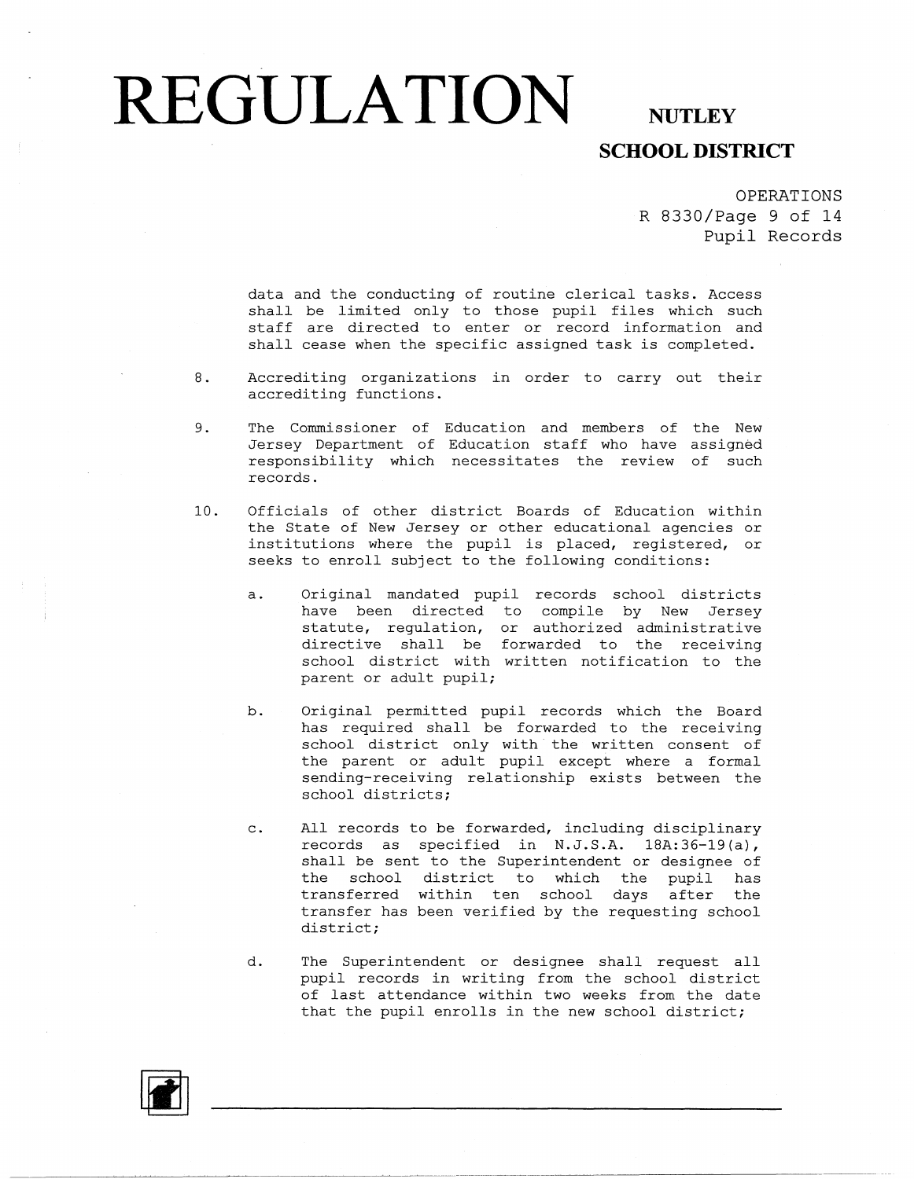## **SCHOOL DISTRICT**

OPERATIONS R 8330/Page 9 of 14 Pupil Records

data and the conducting of routine clerical tasks. Access shall be limited only to those pupil files which such staff are directed to enter or record information and shall cease when the specific assigned task is completed.

- 8. Accrediting organizations in order to carry out their accrediting functions.
- 9. The Commissioner of Education and members of the New Jersey Department of Education staff who have assign responsibility which necessitates the review of sucl records.
- 10. Officials of other district Boards of Education within the State of New Jersey or other educational agencies or institutions where the pupil is placed, registered, or seeks to enroll subject to the following conditions:
	- a. Original mandated pupil records school districts have been directed to compile by New Jersey statute, regulation, or authorized administra directive shall be forwarded to the receiv: school district with written notification to the parent or adult pupil;
	- b. Original permitted pupil records which the Board has required shall be forwarded to the receiving school district only with the written consent of the parent or adult pupil except where a formal sending-receiving relationship exists between the school districts;
	- c. All records to be forwarded, including disciplinary records as specified in N.J.S.A. 18A:36-19(a), shall be sent to the Superintendent or designee of the school district to which the pupil has transferred within ten school days after the transfer has been verified by the requesting school district;
	- d. The Superintendent or designee shall request all pupil records in writing from the school district of last attendance within two weeks from the date that the pupil enrolls in the new school district;

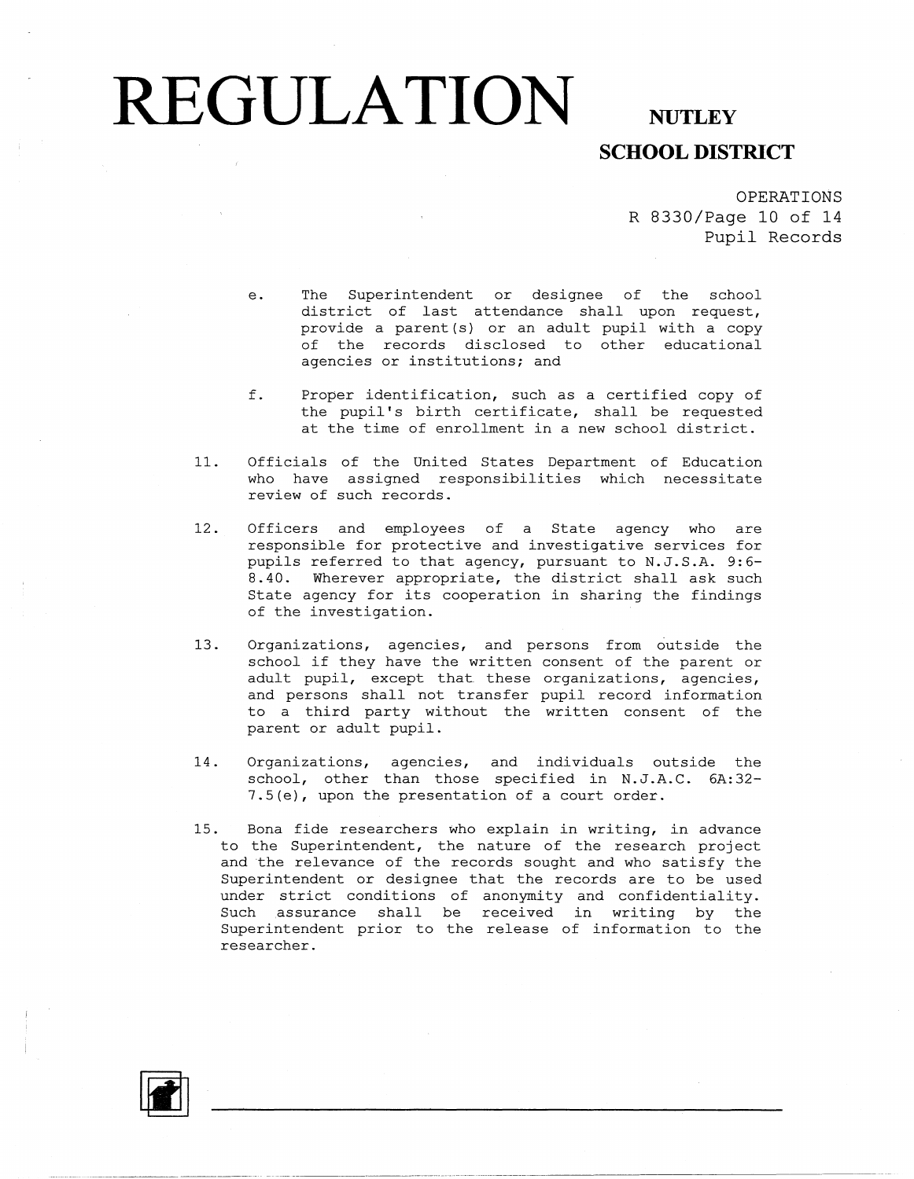### **SCHOOL DISTRICT**

OPERATIONS R 8330/Page 10 of 14 Pupil Records

- e. The Superintendent or designee of the school district of last attendance shall upon request, provide a parent (s) or an adult pupil with a copy of the records disclosed to other educational agencies or institutions; and
- f. Proper identification, such as a certified copy of the pupil's birth certificate, shall be requested at the time of enrollment in a new school district.
- 11. Officials of the United States Department of Education who have assigned responsibilities which necessitate review of such records.
- 12. Officers and employees of a State agency who are responsible for protective and investigative services for pupils referred to that agency, pursuant to N.J.S.A. 9:6- 8.40. Wherever appropriate, the district shall ask such State agency for its cooperation in sharing the findings of the investigation.
- 13. Organizations, agencies, and persons from outside the school if they have the written consent of the parent or adult pupil, except that these organizations, agencies, and persons shall not transfer pupil record information to a third party without the written consent of the parent or adult pupil.
- 14. Organizations, agencies, and individuals outside the school, other than those specified in N.J.A.C. 6A:32- 7 .5 (e), upon the presentation of a court order.
- 15. Bona fide researchers who explain in writing, in advance to the Superintendent, the nature of the research project and the relevance of the records sought and who satisfy the Superintendent or designee that the records are to be used under strict conditions of anonymity and confidentiality. Such assurance shall be received in writing by the Superintendent prior to the release of information to the researcher.

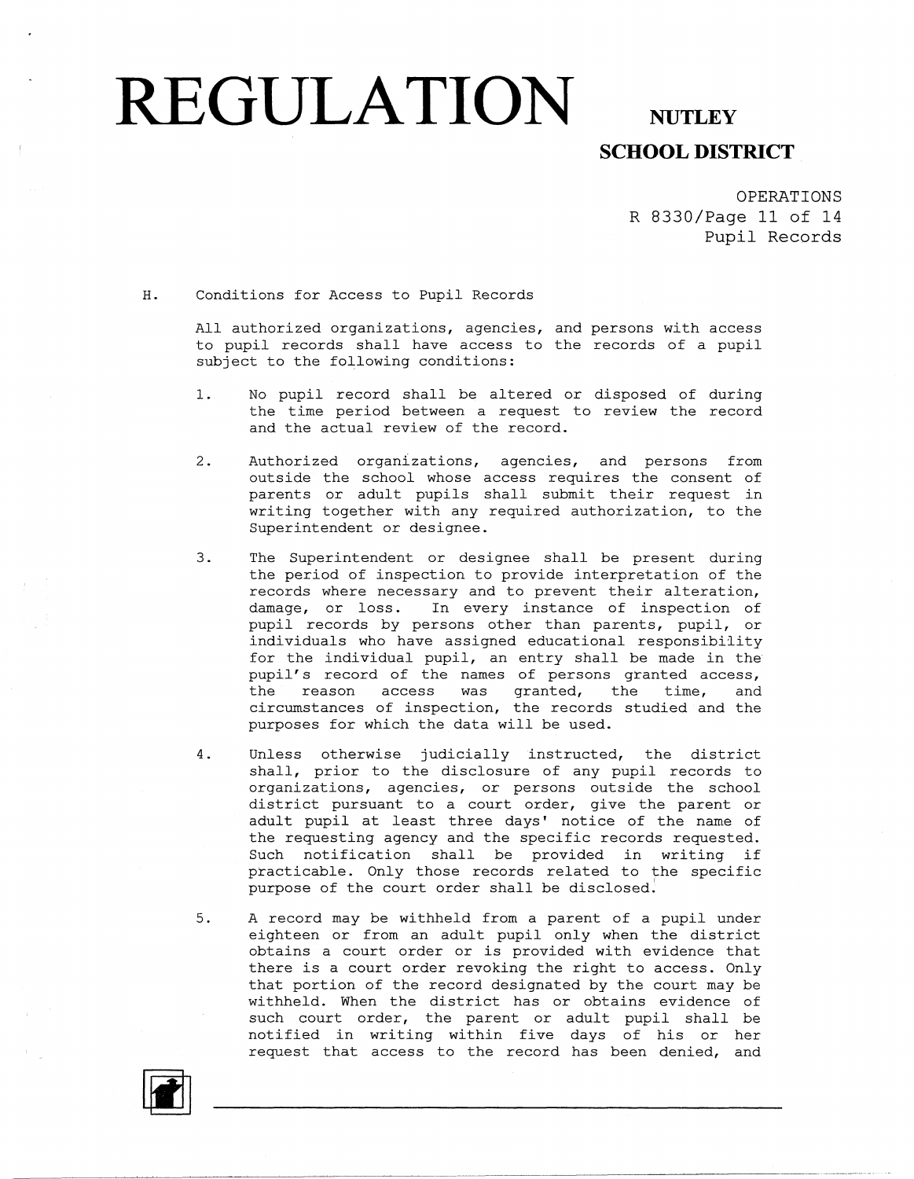# **REGULATION**

## **NUTLEY SCHOOL DISTRICT**

OPERATIONS R 8330/Page 11 of 14 Pupil Records

#### H. Conditions for Access to Pupil Records

All authorized organizations, agencies, and persons with access to pupil records shall have access to the records of a pupil subject to the following conditions:

- 1. No pupil record shall be altered or disposed of during the time period between a request to review the record and the actual review of the record.
- 2. Authorized organizations, agencies, and persons from outside the school whose access requires the consent of parents or adult pupils shall submit their request in writing together with any required authorization, to the Superintendent or designee.
- 3. The Superintendent or designee shall be present during the period of inspection to provide interpretation of the records where necessary and to prevent their alteration, damage, or loss. In every instance of inspection of pupil records by persons other than parents, pupil, or individuals who have assigned educational responsibility for the individual pupil, an entry shall be made in the pupil's record of the names of persons granted access, the reason access was granted, the time, and circumstances of inspection, the records studied and the purposes for which the data will be used.
- 4. Unless otherwise judicially instructed, the district shall, prior to the disclosure of any pupil records to organizations, agencies, or persons outside the school district pursuant to a court order, give the parent or adult pupil at least three days' notice of the name of the requesting agency and the specific records requested. Such notification shall be provided in writing if practicable. Only those records related to the specific purpose of the court order shall be disclosed'.
- 5. A record may be withheld from a parent of a pupil under eighteen or from an adult pupil only when the district obtains a court order or is provided with evidence that there is a court order revoking the right to access. Only that portion of the record designated by the court may be withheld. When the district has or obtains evidence of such court order, the parent or adult pupil shall be notified in writing within five days of his or her request that access to the record has been denied, and

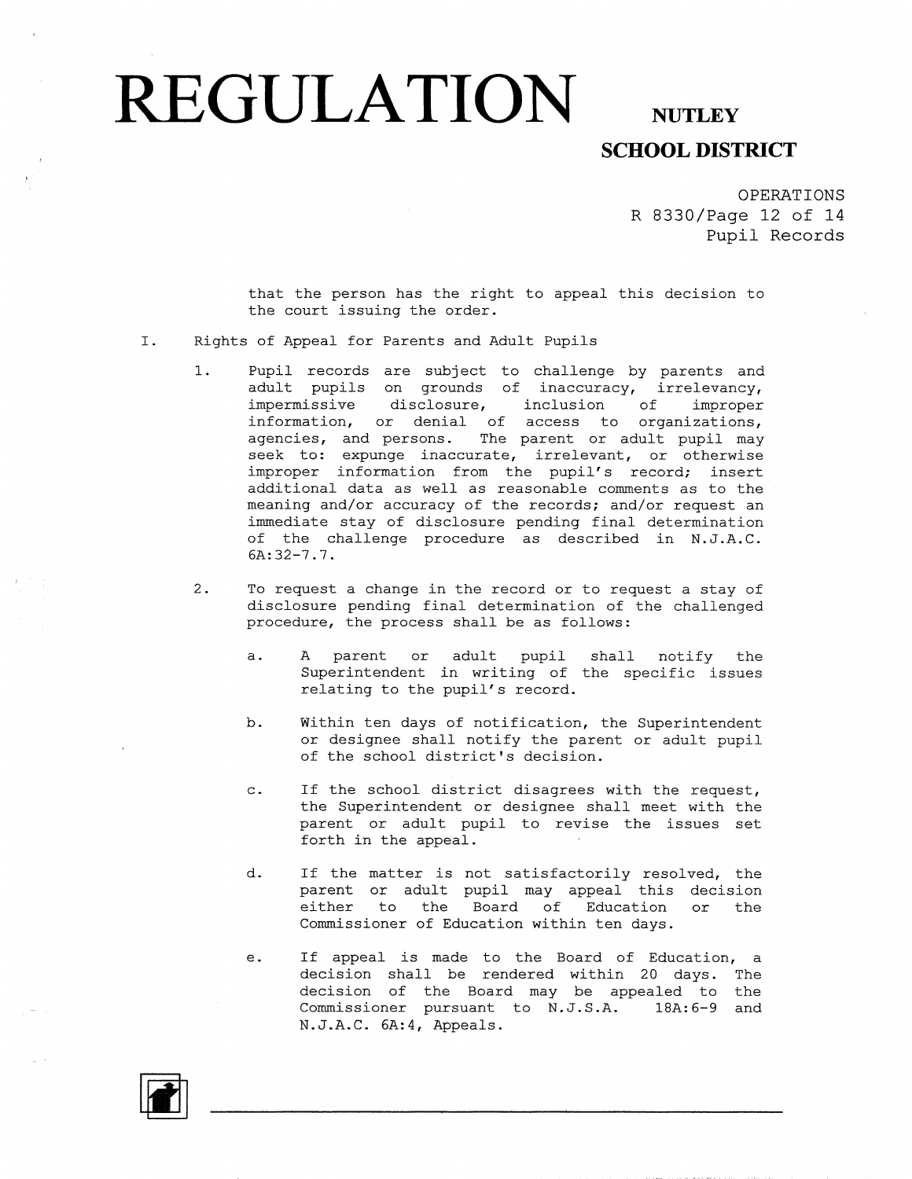## **SCHOOL DISTRICT**

OPERATIONS R 8330/Page 12 of 14 Pupil Records

that the person has the right to appeal this decision to the court issuing the order.

- I. Rights of Appeal for Parents and Adult Pupils
	- 1. Pupil records are subject to challenge by parents and adult pupils on grounds of inaccuracy, irrelevancy, impermissive disclosure, inclusion of improper information, or denial of access to organizations, agencies, and persons. The parent or adult pupil may seek to: expunge inaccurate, irrelevant, or otherwise improper information from the pupil's record; insert additional data as well as reasonable comments as to the meaning and/or accuracy of the records; and/or request an immediate stay of disclosure pending final determination of the challenge procedure as described in N.J.A,C. 6A:32-7.7.
	- 2. To request a change in the record or to request a stay of disclosure pending final determination of the challenged procedure, the process shall be as follows:
		- a. A parent or adult pupil shall notify the Superintendent in writing of the specific issues relating to the pupil's record.
		- b. Within ten days of notification, the Superintendent or designee shall notify the parent or adult pupil of the school district's decision.
		- c. If the school district disagrees with the request, the Superintendent or designee shall meet with the parent or adult pupil to revise the issues set forth in the appeal.
		- d. If the matter is not satisfactorily resolved, the parent or adult pupil may appeal this decision either to the Board of Education or the Commissioner of Education within ten days.
		- e. If appeal is made to the Board of Education, a decision shall be rendered within 20 days. The decision of the Board may be appealed to the Commissioner pursuant to N,J.S.A. 18A:6-9 and N.J.A.C. 6A:4, Appeals.

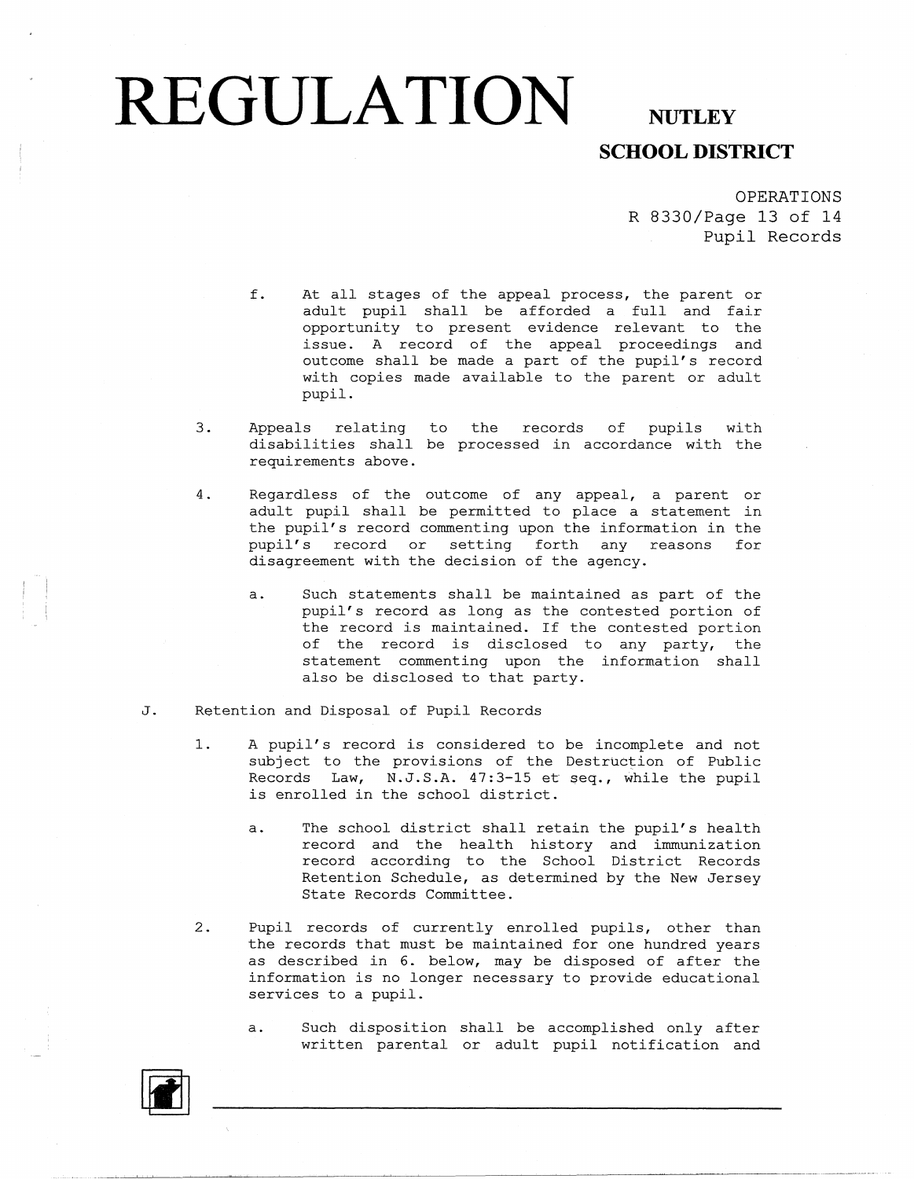## **SCHOOL DISTRICT**

OPERATIONS R 8330/Page 13 of 14 Pupil Records

- f. At all stages of the appeal process, the parent or adult pupil shall be afforded a full and fair opportunity to present evidence relevant to the issue. A record of the appeal proceedings and outcome shall be made a part of the pupil's record with copies made available to the parent or adult pupil.
- 3. Appeals relating to the records of pupils with disabilities shall be processed in accordance with the requirements above.
- 4. Regardless of the outcome of any appeal, a parent or adult pupil shall be permitted to place a statement in the pupil's record commenting upon the information in the pupil's record or setting forth any reasons for disagreement with the decision of the agency.
	- a. Such statements shall be maintained as part of the pupil's record as long as the contested portion of the record is maintained. If the contested portion of the record is disclosed to any party, the statement commenting upon the information shall also be disclosed to that party.
- J. Retention and Disposal of Pupil Records
	- 1. A pupil's record is considered to be incomplete and not subject to the provisions of the Destruction of Public Records Law, N.J.S.A. 47:3-15 et seq., while the pupil is enrolled in the school district.
		- a. The school district shall retain the pupil's health record and the health history and immunization record according to the School District Records Retention Schedule, as determined by the New Jersey State Records Committee.
	- 2. Pupil records of currently enrolled pupils, other than the records that must be maintained for one hundred years as described in 6. below, may be disposed of after the information is no longer necessary to provide educational services to a pupil.
		- a. Such disposition shall be accomplished only after written parental or adult pupil notification and